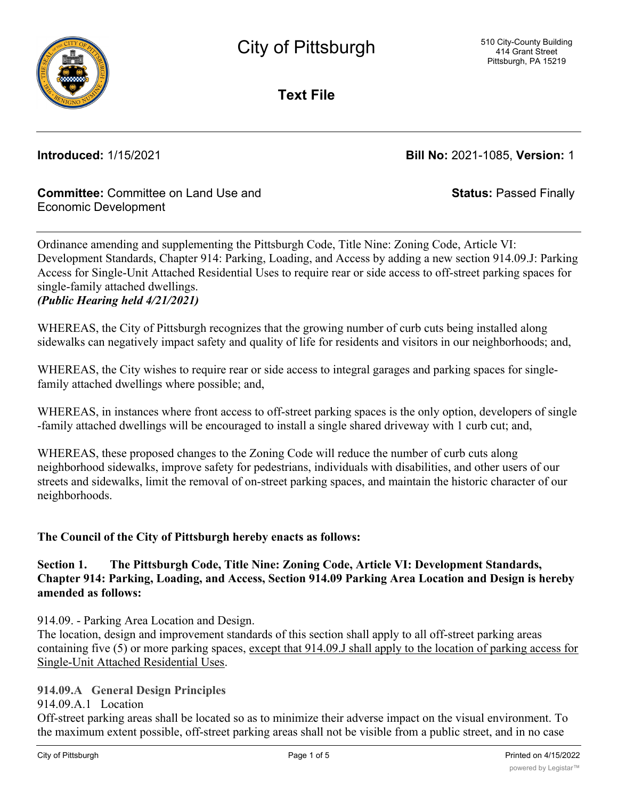

**Text File**

**Introduced:** 1/15/2021 **Bill No:** 2021-1085, **Version:** 1

**Status:** Passed Finally

### **Committee:** Committee on Land Use and Economic Development

Ordinance amending and supplementing the Pittsburgh Code, Title Nine: Zoning Code, Article VI: Development Standards, Chapter 914: Parking, Loading, and Access by adding a new section 914.09.J: Parking Access for Single-Unit Attached Residential Uses to require rear or side access to off-street parking spaces for single-family attached dwellings. *(Public Hearing held 4/21/2021)*

WHEREAS, the City of Pittsburgh recognizes that the growing number of curb cuts being installed along sidewalks can negatively impact safety and quality of life for residents and visitors in our neighborhoods; and,

WHEREAS, the City wishes to require rear or side access to integral garages and parking spaces for singlefamily attached dwellings where possible; and,

WHEREAS, in instances where front access to off-street parking spaces is the only option, developers of single -family attached dwellings will be encouraged to install a single shared driveway with 1 curb cut; and,

WHEREAS, these proposed changes to the Zoning Code will reduce the number of curb cuts along neighborhood sidewalks, improve safety for pedestrians, individuals with disabilities, and other users of our streets and sidewalks, limit the removal of on-street parking spaces, and maintain the historic character of our neighborhoods.

### **The Council of the City of Pittsburgh hereby enacts as follows:**

**Section 1. The Pittsburgh Code, Title Nine: Zoning Code, Article VI: Development Standards, Chapter 914: Parking, Loading, and Access, Section 914.09 Parking Area Location and Design is hereby amended as follows:**

914.09. - Parking Area Location and Design.

The location, design and improvement standards of this section shall apply to all off-street parking areas containing five (5) or more parking spaces, except that 914.09.J shall apply to the location of parking access for Single-Unit Attached Residential Uses.

### **914.09.A General Design Principles**

914.09.A.1 Location

Off-street parking areas shall be located so as to minimize their adverse impact on the visual environment. To the maximum extent possible, off-street parking areas shall not be visible from a public street, and in no case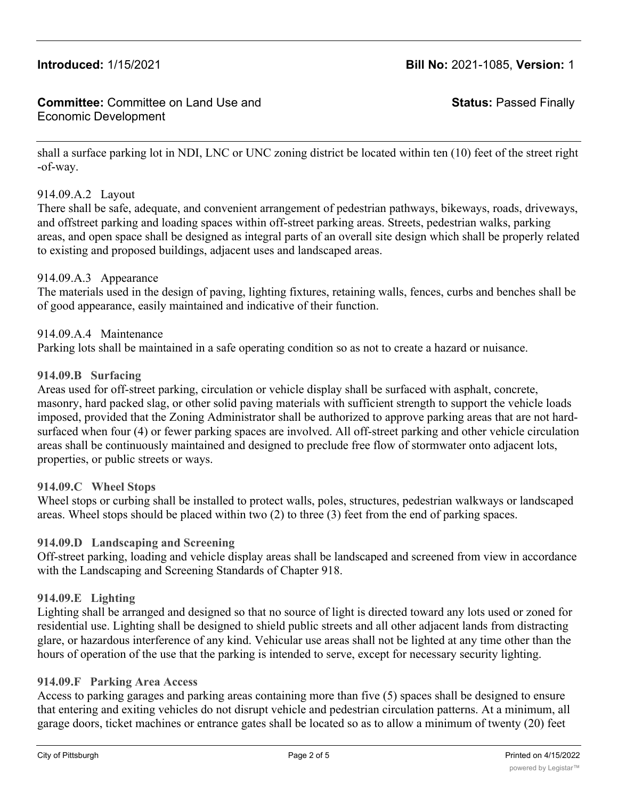# **Introduced:** 1/15/2021 **Bill No:** 2021-1085, **Version:** 1

#### **Committee:** Committee on Land Use and Economic Development

**Status:** Passed Finally

shall a surface parking lot in NDI, LNC or UNC zoning district be located within ten (10) feet of the street right -of-way.

#### 914.09.A.2 Layout

There shall be safe, adequate, and convenient arrangement of pedestrian pathways, bikeways, roads, driveways, and offstreet parking and loading spaces within off-street parking areas. Streets, pedestrian walks, parking areas, and open space shall be designed as integral parts of an overall site design which shall be properly related to existing and proposed buildings, adjacent uses and landscaped areas.

#### 914.09.A.3 Appearance

The materials used in the design of paving, lighting fixtures, retaining walls, fences, curbs and benches shall be of good appearance, easily maintained and indicative of their function.

#### 914.09.A.4 Maintenance

Parking lots shall be maintained in a safe operating condition so as not to create a hazard or nuisance.

#### **914.09.B Surfacing**

Areas used for off-street parking, circulation or vehicle display shall be surfaced with asphalt, concrete, masonry, hard packed slag, or other solid paving materials with sufficient strength to support the vehicle loads imposed, provided that the Zoning Administrator shall be authorized to approve parking areas that are not hardsurfaced when four (4) or fewer parking spaces are involved. All off-street parking and other vehicle circulation areas shall be continuously maintained and designed to preclude free flow of stormwater onto adjacent lots, properties, or public streets or ways.

#### **914.09.C Wheel Stops**

Wheel stops or curbing shall be installed to protect walls, poles, structures, pedestrian walkways or landscaped areas. Wheel stops should be placed within two (2) to three (3) feet from the end of parking spaces.

#### **914.09.D Landscaping and Screening**

Off-street parking, loading and vehicle display areas shall be landscaped and screened from view in accordance with the Landscaping and Screening Standards of Chapter 918.

#### **914.09.E Lighting**

Lighting shall be arranged and designed so that no source of light is directed toward any lots used or zoned for residential use. Lighting shall be designed to shield public streets and all other adjacent lands from distracting glare, or hazardous interference of any kind. Vehicular use areas shall not be lighted at any time other than the hours of operation of the use that the parking is intended to serve, except for necessary security lighting.

#### **914.09.F Parking Area Access**

Access to parking garages and parking areas containing more than five (5) spaces shall be designed to ensure that entering and exiting vehicles do not disrupt vehicle and pedestrian circulation patterns. At a minimum, all garage doors, ticket machines or entrance gates shall be located so as to allow a minimum of twenty (20) feet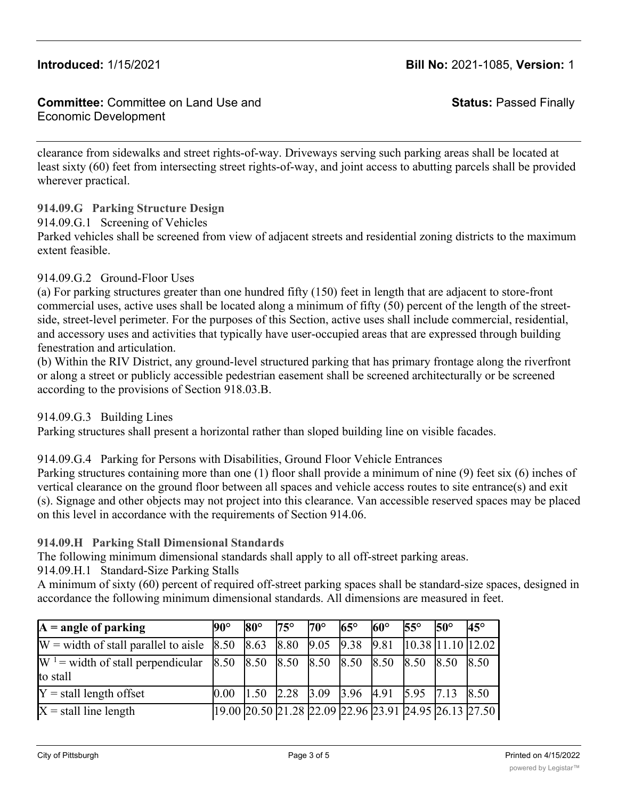#### **Committee:** Committee on Land Use and Economic Development

**Status:** Passed Finally

clearance from sidewalks and street rights-of-way. Driveways serving such parking areas shall be located at least sixty (60) feet from intersecting street rights-of-way, and joint access to abutting parcels shall be provided wherever practical.

**914.09.G Parking Structure Design**

914.09.G.1 Screening of Vehicles

Parked vehicles shall be screened from view of adjacent streets and residential zoning districts to the maximum extent feasible.

#### 914.09.G.2 Ground-Floor Uses

(a) For parking structures greater than one hundred fifty (150) feet in length that are adjacent to store-front commercial uses, active uses shall be located along a minimum of fifty (50) percent of the length of the streetside, street-level perimeter. For the purposes of this Section, active uses shall include commercial, residential, and accessory uses and activities that typically have user-occupied areas that are expressed through building fenestration and articulation.

(b) Within the RIV District, any ground-level structured parking that has primary frontage along the riverfront or along a street or publicly accessible pedestrian easement shall be screened architecturally or be screened according to the provisions of Section 918.03.B.

#### 914.09.G.3 Building Lines

Parking structures shall present a horizontal rather than sloped building line on visible facades.

#### 914.09.G.4 Parking for Persons with Disabilities, Ground Floor Vehicle Entrances

Parking structures containing more than one (1) floor shall provide a minimum of nine (9) feet six (6) inches of vertical clearance on the ground floor between all spaces and vehicle access routes to site entrance(s) and exit (s). Signage and other objects may not project into this clearance. Van accessible reserved spaces may be placed on this level in accordance with the requirements of Section 914.06.

#### **914.09.H Parking Stall Dimensional Standards**

The following minimum dimensional standards shall apply to all off-street parking areas.

914.09.H.1 Standard-Size Parking Stalls

A minimum of sixty (60) percent of required off-street parking spaces shall be standard-size spaces, designed in accordance the following minimum dimensional standards. All dimensions are measured in feet.

| $A = angle of parking$                                                           | $90^{\circ}$                       | $80^\circ$ | $75^\circ$ | l70°                                                                           | $65^\circ$ | $60^{\circ}$ | $55^{\circ}$ | $50^{\circ}$                                                                      | $45^\circ$ |
|----------------------------------------------------------------------------------|------------------------------------|------------|------------|--------------------------------------------------------------------------------|------------|--------------|--------------|-----------------------------------------------------------------------------------|------------|
| $W =$ width of stall parallel to aisle $\begin{array}{ l} 8.50 \end{array}$ 8.63 |                                    |            |            |                                                                                |            |              |              | $\begin{bmatrix} 8.80 & 9.05 & 9.38 & 9.81 & 10.38 & 11.10 & 12.02 \end{bmatrix}$ |            |
| $W^1$ = width of stall perpendicular<br>to stall                                 | 8.50 8.50 8.50 8.50 8.50 8.50 8.50 |            |            |                                                                                |            |              |              | 8.50                                                                              | 8.50       |
| $Y =$ stall length offset                                                        | 0.00                               |            |            | $\begin{bmatrix} 1.50 & 2.28 & 3.09 & 3.96 & 4.91 & 5.95 & 7.13 \end{bmatrix}$ |            |              |              |                                                                                   | 8.50       |
| $X =$ stall line length                                                          |                                    |            |            |                                                                                |            |              |              | 19.00 20.50 21.28 22.09 22.96 23.91 24.95 26.13 27.50                             |            |

wall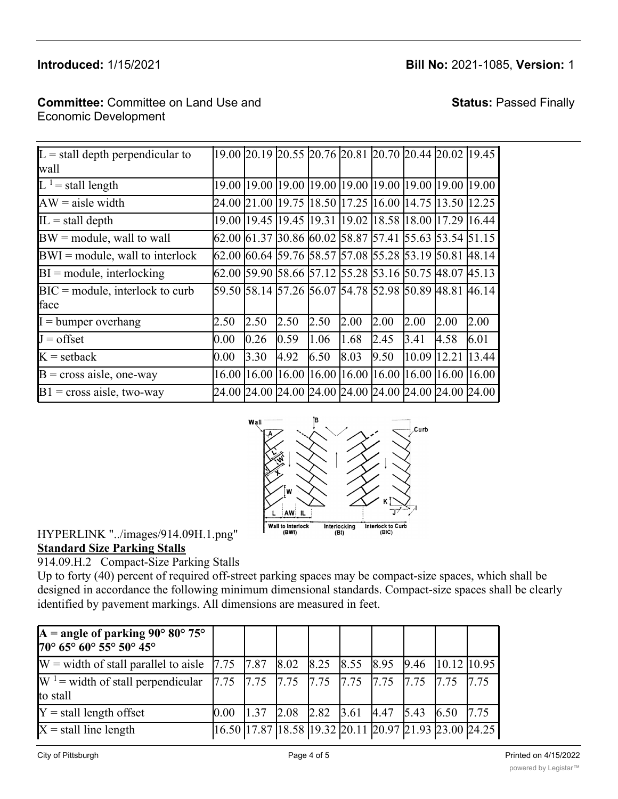# $W = \frac{W}{2}$  with oriental to aisle 8.53  $8.8$  8.83 9.81 10.43 9.81 10.43 9.81 11.10 12.023 11.10 12.023 11.10 12.023 11.10 12.023 11.10 12.023 12.10 12.023 12.10 12.023 12.10 12.10 12.10 12.10 12.10 12.10 12.10 12.10 12.1

# **Introduced:** 1/15/2021 **Bill No:** 2021-1085, **Version:** 1

# Committee: Committee on Land Use and  $\blacksquare$  Economic Development

# **Status:** Passed Finally

| $\overline{L}$ stall depth perpendicular to |       |                       |      |      |                   |      |       | 19.00 20.19 20.55 20.76 20.81 20.70 20.44 20.02 19.45         |       |
|---------------------------------------------|-------|-----------------------|------|------|-------------------|------|-------|---------------------------------------------------------------|-------|
| wall                                        |       |                       |      |      |                   |      |       |                                                               |       |
| $L1$ = stall length                         | 19.00 |                       |      |      |                   |      |       | 19.00  19.00  19.00  19.00  19.00  19.00  19.00  19.00        |       |
| $AW = aisle width$                          |       |                       |      |      |                   |      |       | 24.00  21.00  19.75  18.50  17.25  16.00  14.75  13.50  12.25 |       |
| $IL = stall$ depth                          |       |                       |      |      |                   |      |       | 19.00  19.45  19.45  19.31  19.02  18.58  18.00  17.29  16.44 |       |
| $BW = module$ , wall to wall                |       |                       |      |      |                   |      |       | 62.00  61.37  30.86  60.02  58.87  57.41  55.63  53.54  51.15 |       |
| $BWI = module$ , wall to interlock          |       |                       |      |      |                   |      |       | 62.00  60.64  59.76  58.57  57.08  55.28  53.19  50.81  48.14 |       |
| $BI = module$ , interlocking                |       |                       |      |      |                   |      |       | 62.00 59.90 58.66 57.12 55.28 53.16 50.75 48.07 45.13         |       |
| $BIC = module$ , interlock to curb          |       |                       |      |      |                   |      |       | 59.50 58.14 57.26 56.07 54.78 52.98 50.89 48.81 46.14         |       |
| face                                        |       |                       |      |      |                   |      |       |                                                               |       |
| $I =$ bumper overhang                       | 2.50  | 2.50                  | 2.50 | 2.50 | 2.00              | 2.00 | 2.00  | 2.00                                                          | 2.00  |
| $J =$ offset                                | 0.00  | 0.26                  | 0.59 | 1.06 | 1.68              | 2.45 | 3.41  | 4.58                                                          | 6.01  |
| $K =$ setback                               | 0.00  | 3.30                  | 4.92 | 6.50 | 8.03              | 9.50 | 10.09 | 12.21                                                         | 13.44 |
| $B = cross$ aisle, one-way                  |       | 16.00   16.00   16.00 |      |      | 16.00 16.00 16.00 |      |       | 16.00 16.00 16.00                                             |       |
| $B1$ = cross aisle, two-way                 |       |                       |      |      |                   |      |       | 24.00 24.00 24.00 24.00 24.00 24.00 24.00 24.00 24.00         |       |



# HYPERLINK "../images/914.09H.1.png" **Standard Size Parking Stalls**

914.09.H.2 Compact-Size Parking Stalls

Up to forty (40) percent of required off-street parking spaces may be compact-size spaces, which shall be designed in accordance the following minimum dimensional standards. Compact-size spaces shall be clearly identified by pavement markings. All dimensions are measured in feet.

| $\mathbf{A}$ = angle of parking 90° 80° 75°<br>$70^{\circ}$ 65° 60° 55° 50° 45°                                       |      |      |                                                               |  |           |  |
|-----------------------------------------------------------------------------------------------------------------------|------|------|---------------------------------------------------------------|--|-----------|--|
| W = width of stall parallel to aisle   7.75   7.87   8.02   8.25   8.55   8.95   9.46   10.12   10.95                 |      |      |                                                               |  |           |  |
| $W_1$ <sup>1</sup> = width of stall perpendicular   7.75   7.75   7.75   7.75   7.75   7.75   7.75   7.75<br>to stall |      |      |                                                               |  |           |  |
| $Y =$ stall length offset                                                                                             | 0.00 | 1.37 | $2.08$ 2.82 3.61 4.47 5.43                                    |  | 6.50 7.75 |  |
| $X =$ stall line length                                                                                               |      |      | 16.50  17.87  18.58  19.32  20.11  20.97  21.93  23.00  24.25 |  |           |  |